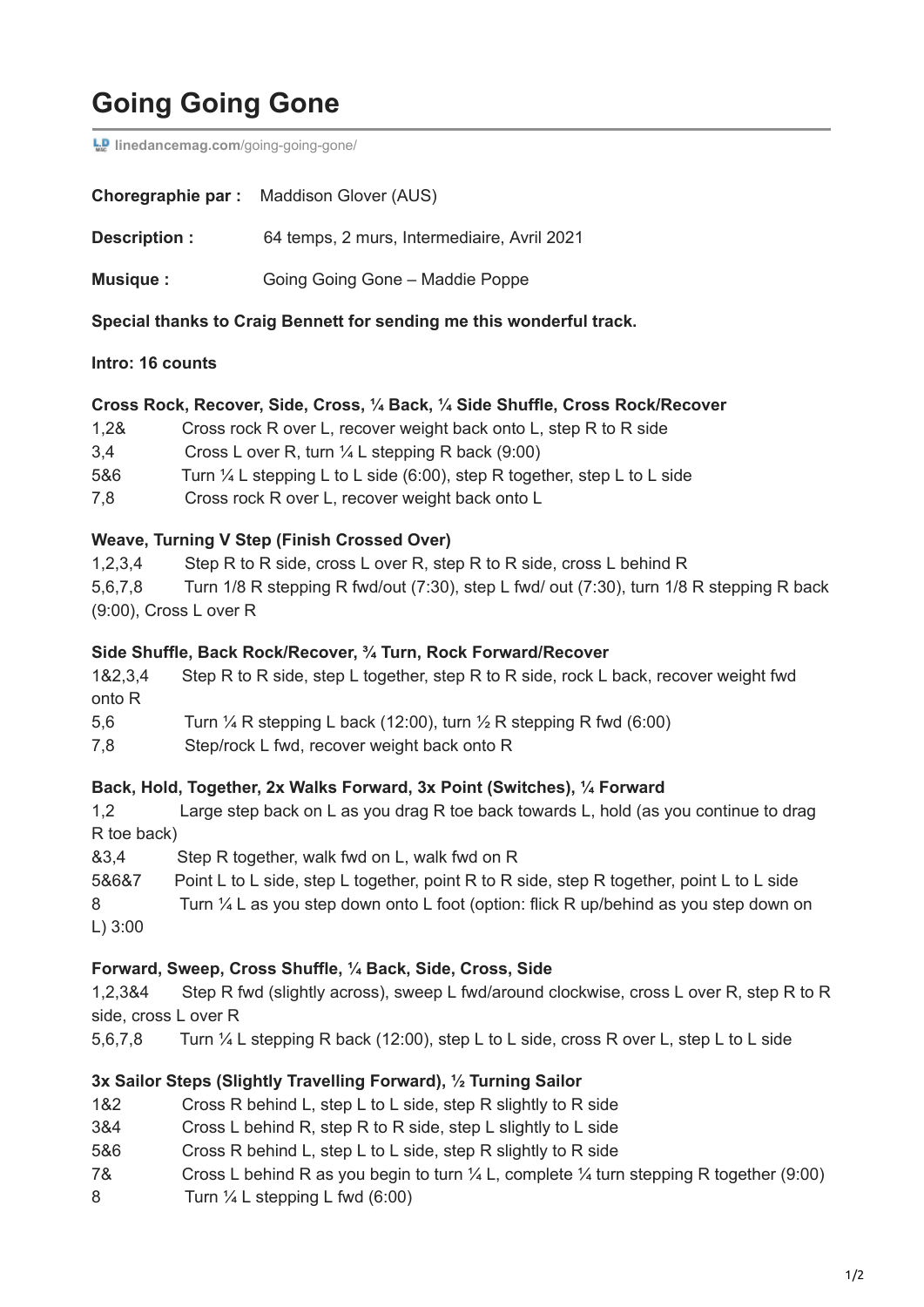# **Going Going Gone**

**LD** [linedancemag.com](https://www.linedancemag.com/going-going-gone/)/going-going-gone/

|               | <b>Choregraphie par:</b> Maddison Glover (AUS) |
|---------------|------------------------------------------------|
| Description : | 64 temps, 2 murs, Intermediaire, Avril 2021    |
| Musique :     | Going Going Gone - Maddie Poppe                |

**Special thanks to Craig Bennett for sending me this wonderful track.**

#### **Intro: 16 counts**

#### **Cross Rock, Recover, Side, Cross, ¼ Back, ¼ Side Shuffle, Cross Rock/Recover**

- 1,2& Cross rock R over L, recover weight back onto L, step R to R side
- 3,4 Cross L over R, turn ¼ L stepping R back (9:00)
- 5&6 Turn ¼ L stepping L to L side (6:00), step R together, step L to L side
- 7,8 Cross rock R over L, recover weight back onto L

#### **Weave, Turning V Step (Finish Crossed Over)**

1,2,3,4 Step R to R side, cross L over R, step R to R side, cross L behind R

5,6,7,8 Turn 1/8 R stepping R fwd/out (7:30), step L fwd/ out (7:30), turn 1/8 R stepping R back (9:00), Cross L over R

#### **Side Shuffle, Back Rock/Recover, ¾ Turn, Rock Forward/Recover**

1&2,3,4 Step R to R side, step L together, step R to R side, rock L back, recover weight fwd onto R

5,6 Turn  $\frac{1}{4}$  R stepping L back (12:00), turn  $\frac{1}{2}$  R stepping R fwd (6:00)

7,8 Step/rock L fwd, recover weight back onto R

#### **Back, Hold, Together, 2x Walks Forward, 3x Point (Switches), ¼ Forward**

1,2 Large step back on L as you drag R toe back towards L, hold (as you continue to drag R toe back)

&3,4 Step R together, walk fwd on L, walk fwd on R

5&6&7 Point L to L side, step L together, point R to R side, step R together, point L to L side 8 Turn 1/4 L as you step down onto L foot (option: flick R up/behind as you step down on L) 3:00

#### **Forward, Sweep, Cross Shuffle, ¼ Back, Side, Cross, Side**

1,2,3&4 Step R fwd (slightly across), sweep L fwd/around clockwise, cross L over R, step R to R side, cross L over R

5,6,7,8 Turn ¼ L stepping R back (12:00), step L to L side, cross R over L, step L to L side

#### **3x Sailor Steps (Slightly Travelling Forward), ½ Turning Sailor**

- 1&2 Cross R behind L, step L to L side, step R slightly to R side
- 3&4 Cross L behind R, step R to R side, step L slightly to L side
- 5&6 Cross R behind L, step L to L side, step R slightly to R side
- 7& Cross L behind R as you begin to turn  $\frac{1}{4}$  L, complete  $\frac{1}{4}$  turn stepping R together (9:00)
- 8 Turn  $\frac{1}{4}$  L stepping L fwd (6:00)